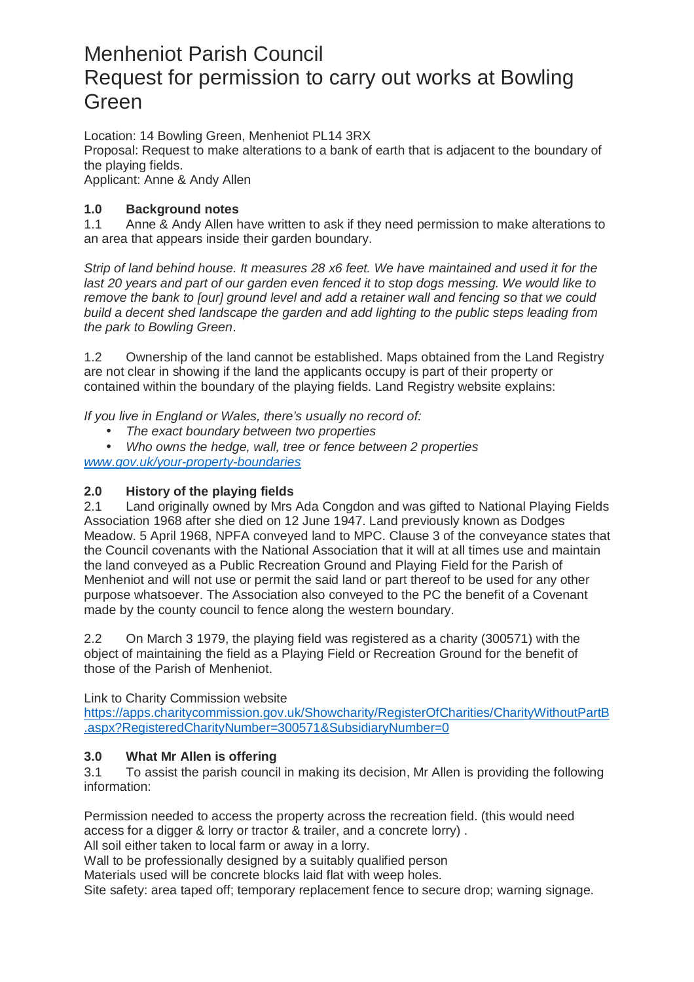# Menheniot Parish Council Request for permission to carry out works at Bowling Green

Location: 14 Bowling Green, Menheniot PL14 3RX Proposal: Request to make alterations to a bank of earth that is adjacent to the boundary of the playing fields. Applicant: Anne & Andy Allen

## **1.0 Background notes**

1.1 Anne & Andy Allen have written to ask if they need permission to make alterations to an area that appears inside their garden boundary.

Strip of land behind house. It measures 28 x6 feet. We have maintained and used it for the last 20 years and part of our garden even fenced it to stop dogs messing. We would like to remove the bank to [our] ground level and add a retainer wall and fencing so that we could build a decent shed landscape the garden and add lighting to the public steps leading from the park to Bowling Green.

1.2 Ownership of the land cannot be established. Maps obtained from the Land Registry are not clear in showing if the land the applicants occupy is part of their property or contained within the boundary of the playing fields. Land Registry website explains:

If you live in England or Wales, there's usually no record of:

The exact boundary between two properties

• Who owns the hedge, wall, tree or fence between 2 properties www.gov.uk/your-property-boundaries

# **2.0 History of the playing fields**

2.1 Land originally owned by Mrs Ada Congdon and was gifted to National Playing Fields Association 1968 after she died on 12 June 1947. Land previously known as Dodges Meadow. 5 April 1968, NPFA conveyed land to MPC. Clause 3 of the conveyance states that the Council covenants with the National Association that it will at all times use and maintain the land conveyed as a Public Recreation Ground and Playing Field for the Parish of Menheniot and will not use or permit the said land or part thereof to be used for any other purpose whatsoever. The Association also conveyed to the PC the benefit of a Covenant made by the county council to fence along the western boundary.

2.2 On March 3 1979, the playing field was registered as a charity (300571) with the object of maintaining the field as a Playing Field or Recreation Ground for the benefit of those of the Parish of Menheniot.

Link to Charity Commission website

https://apps.charitycommission.gov.uk/Showcharity/RegisterOfCharities/CharityWithoutPartB .aspx?RegisteredCharityNumber=300571&SubsidiaryNumber=0

#### **3.0 What Mr Allen is offering**

3.1 To assist the parish council in making its decision, Mr Allen is providing the following information:

Permission needed to access the property across the recreation field. (this would need access for a digger & lorry or tractor & trailer, and a concrete lorry) .

All soil either taken to local farm or away in a lorry.

Wall to be professionally designed by a suitably qualified person

Materials used will be concrete blocks laid flat with weep holes.

Site safety: area taped off; temporary replacement fence to secure drop; warning signage.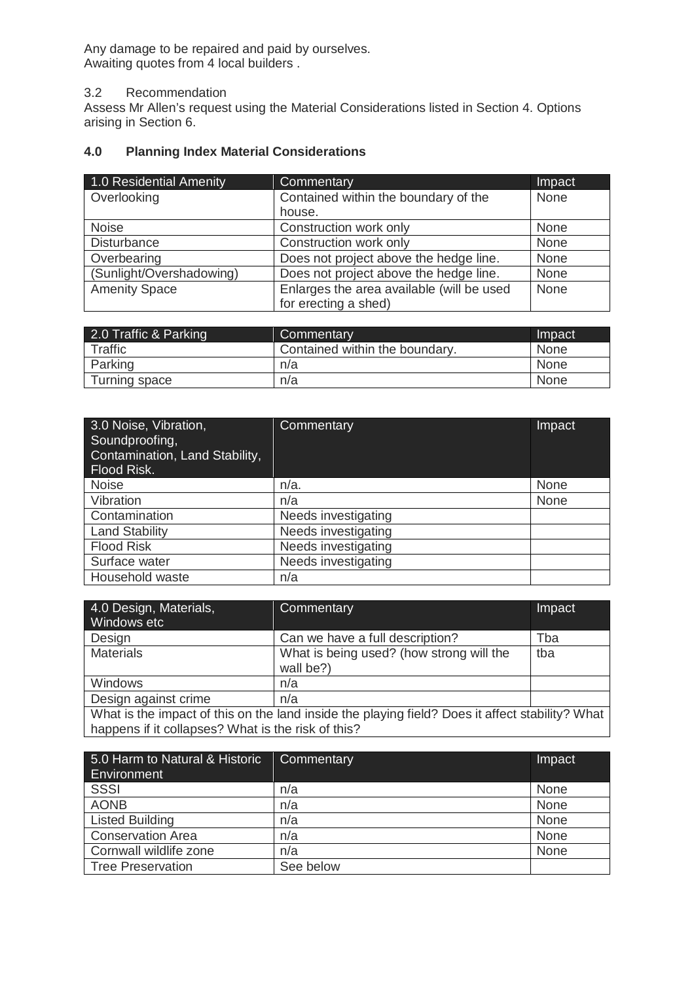Any damage to be repaired and paid by ourselves. Awaiting quotes from 4 local builders .

#### 3.2 Recommendation

Assess Mr Allen's request using the Material Considerations listed in Section 4. Options arising in Section 6.

# **4.0 Planning Index Material Considerations**

| 1.0 Residential Amenity  | <b>Commentary</b>                         | Impact |
|--------------------------|-------------------------------------------|--------|
| Overlooking              | Contained within the boundary of the      | None   |
|                          | house.                                    |        |
| <b>Noise</b>             | Construction work only                    | None   |
| <b>Disturbance</b>       | Construction work only                    | None   |
| Overbearing              | Does not project above the hedge line.    | None   |
| (Sunlight/Overshadowing) | Does not project above the hedge line.    | None   |
| <b>Amenity Space</b>     | Enlarges the area available (will be used | None   |
|                          | for erecting a shed)                      |        |

| 2.0 Traffic & Parking | Commentary                     | Impact      |
|-----------------------|--------------------------------|-------------|
| <b>Traffic</b>        | Contained within the boundary. | <b>None</b> |
| Parking               | n/a                            | None        |
| Turning space         | n/a                            | None        |

| 3.0 Noise, Vibration,<br>Soundproofing,<br>Contamination, Land Stability,<br>Flood Risk. | Commentary          | Impact |
|------------------------------------------------------------------------------------------|---------------------|--------|
| <b>Noise</b>                                                                             | $n/a$ .             | None   |
| Vibration                                                                                | n/a                 | None   |
| Contamination                                                                            | Needs investigating |        |
| <b>Land Stability</b>                                                                    | Needs investigating |        |
| <b>Flood Risk</b>                                                                        | Needs investigating |        |
| Surface water                                                                            | Needs investigating |        |
| Household waste                                                                          | n/a                 |        |

| 4.0 Design, Materials,<br>Windows etc                                                                                                                 | Commentary                                            | Impact |
|-------------------------------------------------------------------------------------------------------------------------------------------------------|-------------------------------------------------------|--------|
| Design                                                                                                                                                | Can we have a full description?                       | Tba    |
| <b>Materials</b>                                                                                                                                      | What is being used? (how strong will the<br>wall be?) | tba    |
| Windows                                                                                                                                               | n/a                                                   |        |
| Design against crime                                                                                                                                  | n/a                                                   |        |
| What is the impact of this on the land inside the playing field? Does it affect stability? What<br>happens if it collapses? What is the risk of this? |                                                       |        |

| 5.0 Harm to Natural & Historic<br>Environment | Commentary | Impact |
|-----------------------------------------------|------------|--------|
| <b>SSSI</b>                                   | n/a        | None   |
| <b>AONB</b>                                   | n/a        | None   |
| <b>Listed Building</b>                        | n/a        | None   |
| <b>Conservation Area</b>                      | n/a        | None   |
| Cornwall wildlife zone                        | n/a        | None   |
| Tree Preservation                             | See below  |        |